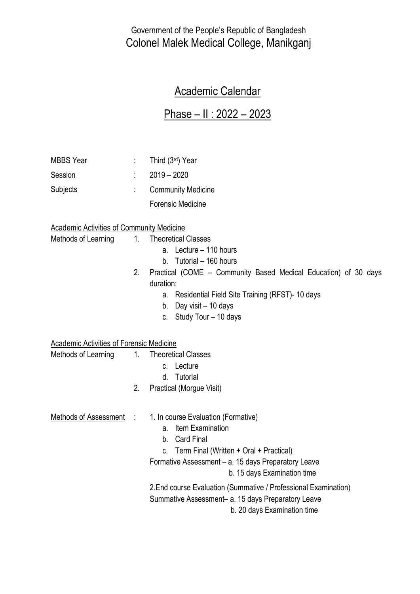Government of the People's Republic of Bangladesh Colonel Malek Medical College, Manikganj

## Academic Calendar

## Phase – II : 2022 – 2023

| <b>MBBS</b> Year                                 |    | Third (3rd) Year                                                |  |  |
|--------------------------------------------------|----|-----------------------------------------------------------------|--|--|
|                                                  |    |                                                                 |  |  |
| Session                                          |    | $2019 - 2020$                                                   |  |  |
| Subjects                                         |    | <b>Community Medicine</b>                                       |  |  |
|                                                  |    | <b>Forensic Medicine</b>                                        |  |  |
| <b>Academic Activities of Community Medicine</b> |    |                                                                 |  |  |
| Methods of Learning                              | 1. | <b>Theoretical Classes</b>                                      |  |  |
|                                                  |    | a. Lecture - 110 hours                                          |  |  |
|                                                  |    | b. Tutorial - 160 hours                                         |  |  |
|                                                  | 2. | Practical (COME – Community Based Medical Education) of 30 days |  |  |
|                                                  |    | duration:                                                       |  |  |
|                                                  |    | a. Residential Field Site Training (RFST)-10 days               |  |  |
|                                                  |    | b. Day visit - 10 days                                          |  |  |
|                                                  |    | c. Study Tour - 10 days                                         |  |  |
| Academic Activities of Forensic Medicine         |    |                                                                 |  |  |
| Methods of Learning                              | 1. | <b>Theoretical Classes</b>                                      |  |  |
|                                                  |    | c. Lecture                                                      |  |  |
|                                                  |    | d. Tutorial                                                     |  |  |
|                                                  | 2. | Practical (Morgue Visit)                                        |  |  |
| Methods of Assessment :                          |    | 1. In course Evaluation (Formative)                             |  |  |
|                                                  |    | <b>Item Examination</b><br>а.                                   |  |  |
|                                                  |    | <b>Card Final</b><br>b.                                         |  |  |
|                                                  |    | Term Final (Written + Oral + Practical)<br>C.                   |  |  |
|                                                  |    | Formative Assessment - a. 15 days Preparatory Leave             |  |  |
|                                                  |    | b. 15 days Examination time                                     |  |  |
|                                                  |    | 2. End course Evaluation (Summative / Professional Examination) |  |  |
|                                                  |    | Summative Assessment- a. 15 days Preparatory Leave              |  |  |
|                                                  |    | b. 20 days Examination time                                     |  |  |
|                                                  |    |                                                                 |  |  |